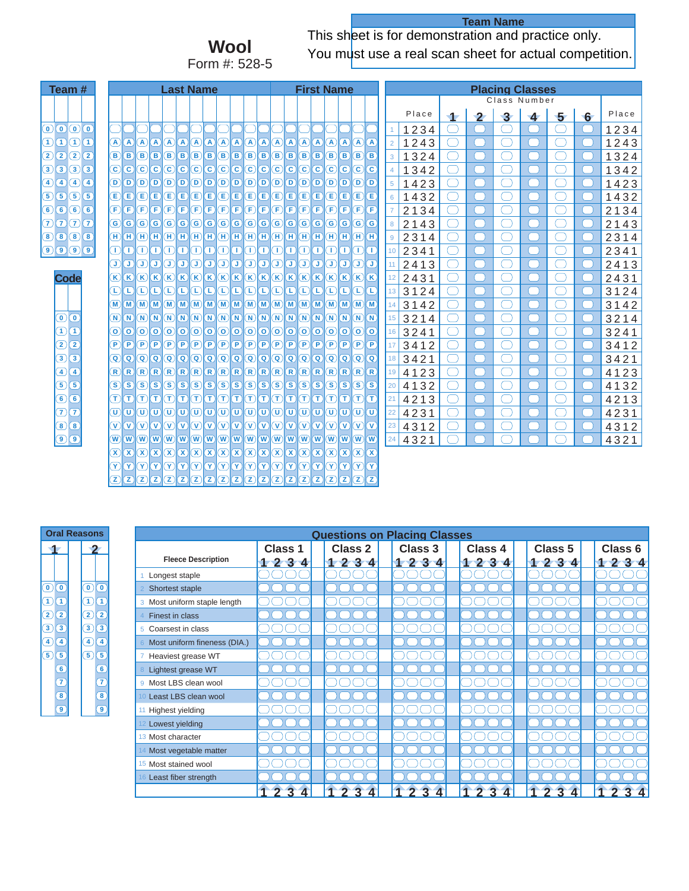## **Wool**

**Team Name** This sheet is for demonstration and practice only.

Form #: 528-5

You must use a real scan sheet for actual competition.

| Team#                                                                   |                                                                                                          | <b>Last Name</b>                                                                                                                                                                                                                                                                                                                                                                                                                                                                                                                                                                                                                                                                                                       | <b>First Name</b>                                                                                                                                                            | <b>Placing Classes</b>                                                                                  |
|-------------------------------------------------------------------------|----------------------------------------------------------------------------------------------------------|------------------------------------------------------------------------------------------------------------------------------------------------------------------------------------------------------------------------------------------------------------------------------------------------------------------------------------------------------------------------------------------------------------------------------------------------------------------------------------------------------------------------------------------------------------------------------------------------------------------------------------------------------------------------------------------------------------------------|------------------------------------------------------------------------------------------------------------------------------------------------------------------------------|---------------------------------------------------------------------------------------------------------|
|                                                                         |                                                                                                          |                                                                                                                                                                                                                                                                                                                                                                                                                                                                                                                                                                                                                                                                                                                        |                                                                                                                                                                              | Class Number                                                                                            |
|                                                                         |                                                                                                          |                                                                                                                                                                                                                                                                                                                                                                                                                                                                                                                                                                                                                                                                                                                        |                                                                                                                                                                              | Place<br>Place<br>$\overline{\mathbf{3}}$<br>$\mathbf{2}$<br>6<br>$\sqrt{5}$<br>$\overline{\mathbf{4}}$ |
| $\Omega(\mathbf{0})$                                                    |                                                                                                          |                                                                                                                                                                                                                                                                                                                                                                                                                                                                                                                                                                                                                                                                                                                        |                                                                                                                                                                              | 1234<br>1234                                                                                            |
| $\bigcap(\bigcap(\bigcap(\bigcap(\bigcap$                               | (A)<br>$\left( {\bf{A}} \right)$<br>(A)<br>$\left( {\bf{A}} \right)$                                     | $\left( {\bf A} \right)$<br>(A)(A)(A)(A)(A)<br>(A)(A)                                                                                                                                                                                                                                                                                                                                                                                                                                                                                                                                                                                                                                                                  | (A)(A)<br>(A)(A)<br>$(\mathbf{A})$<br>$(\mathbf{A})$<br>$(\mathbf{A})$<br>ΪA                                                                                                 | 1243<br>1243<br>2                                                                                       |
| 2(2)(2)<br>$\left( 2\right)$                                            | $\left( \mathbf{B}\right)$<br>$\left( \mathbf{B}\right)$<br>$\bf \bf B)$<br>$\left( \mathbf{B}\right)$   | $\left( \overline{\mathbf{B}}\right)$<br>(B)(B)(B)(B)(B)<br>(B)(B)(B)                                                                                                                                                                                                                                                                                                                                                                                                                                                                                                                                                                                                                                                  | (B)(B)(B)<br>$\left( \mathbf{B}\right)$<br>$(B)$ $(B)$<br>冝                                                                                                                  | 1324<br>1324<br>3                                                                                       |
| $\mathfrak{3}(3)(3)(3)$                                                 | $\mathbf{C}(\mathbf{C})$                                                                                 | $\overline{C}$ $\overline{C}$ $\overline{C}$<br>$\bigcirc$ $\bigcirc$ $\bigcirc$ $\bigcirc$ $\bigcirc$                                                                                                                                                                                                                                                                                                                                                                                                                                                                                                                                                                                                                 | $\bigcirc$ $\bigcirc$ $\bigcirc$ $\bigcirc$ $\bigcirc$ $\bigcirc$<br>$\bigcirc$ $\bigcirc$ $\bigcirc$<br>$\overline{\mathbf{c}}$                                             | $\subset$<br>1342<br>1342                                                                               |
| $\left( 4\right)$ $\left( 4\right)$<br>$\boxed{4}$<br>$\left( 4\right)$ | $\left( \mathbf{D}\right)$<br>$\left( $<br>D)<br>$\left( \begin{matrix} \textbf{D} \end{matrix} \right)$ | $\boxed{\mathbf{D}}\boxed{\mathbf{D}}$<br>$(D)$ $(D)$ $(D)$<br>(D(D)<br>$\left( $                                                                                                                                                                                                                                                                                                                                                                                                                                                                                                                                                                                                                                      | $(D)$ $(D)$ $(D)$<br>$\left(  \overline{\mathbf{D}}\right)$<br>$\Box$<br>$\left( \mathbf{D}\right)$<br>௫                                                                     | 1423<br>1423<br>Œ<br>5                                                                                  |
| (5)(5)(5)<br>$\sqrt{5}$                                                 | $\mathbf \overline{(\mathbf E)}$<br>E) E<br>Œ)                                                           | <b>DDDDD</b><br>$(\mathsf{E})$                                                                                                                                                                                                                                                                                                                                                                                                                                                                                                                                                                                                                                                                                         | <b>EEEEEE</b><br>$\circled{\bf E}$<br>$\bigcirc$<br>Œ                                                                                                                        | 1432<br>1432<br>◯<br>6                                                                                  |
| $\left( 6\right) 6$<br>$\left( 6\right)$<br>6                           | F<br>Œ,<br>F<br>$\left( \mathsf{F}\right)$                                                               | $\mathsf{F}$                                                                                                                                                                                                                                                                                                                                                                                                                                                                                                                                                                                                                                                                                                           | $F(F)$ $F$<br>$\left( \mathsf{F}\right)$<br>$\sqrt{F}$<br>$\sqrt{F}$<br>F                                                                                                    | 2134<br>2134<br>61                                                                                      |
| 7(7(7))<br>$\left(7\right)$                                             | $\left( G\right) \left( G\right)$                                                                        | $\boxed{G}$ $\boxed{G}$ $\boxed{G}$ $\boxed{G}$ $\boxed{G}$ $\boxed{G}$ $\boxed{G}$ $\boxed{G}$                                                                                                                                                                                                                                                                                                                                                                                                                                                                                                                                                                                                                        | $\boxed{G}$ $\boxed{G}$ $\boxed{G}$ $\boxed{G}$ $\boxed{G}$ $\boxed{G}$<br> G(G) G<br>G                                                                                      | 2143<br>$\subset$<br>2143<br>8                                                                          |
| (8)(8)<br>$\binom{8}{ }$<br>$\bf{B}$                                    | $\left( \overline{\mathbf{H}}\right)$<br>$(\mathbf{H})$                                                  |                                                                                                                                                                                                                                                                                                                                                                                                                                                                                                                                                                                                                                                                                                                        | $\overline{\mathsf{H}}$                                                                                                                                                      | 2314<br>2314<br>9                                                                                       |
| $\left( 9\right) \left( 9\right) \left( 9\right)$                       | $(\top)$<br>$\mathbb T$<br>Т                                                                             | $\top$<br>$\left( \mathrm{T}\right)$<br>$\bigcap$<br>IO<br>$\Box$<br>$\Box \Box$<br>$\left( \mathsf{T}\right)$<br>$\bigcap$                                                                                                                                                                                                                                                                                                                                                                                                                                                                                                                                                                                            | $\bigcap$<br>$\mathbb T$<br>OŒ<br>$\left(\mathsf{T}\right)$<br>$\mathbb T$<br>$\mathbb T$<br>T.                                                                              | 2341<br>2341<br>10                                                                                      |
|                                                                         | ெ<br>T<br>$\mathbf{J}$                                                                                   | $\Box$<br>$\left( \mathbf{J}\right)$<br>$\mathbb T$<br>$\mathbf{J}$<br>$\Gamma(\mathbf{U} \mathbf{U})$<br>$\left( \mathrm{J}\right)$<br>$\left( \mathrm{L}\right)$                                                                                                                                                                                                                                                                                                                                                                                                                                                                                                                                                     | $\left( \mathrm{J}\right)$<br>$\left( \mathbf{J}\right)$<br>$\left(\text{T}\right)$<br>$\sigma$<br>$\left( \mathrm{J}\right)$<br>$\left( \mathbf{J}\right)$<br>σ             | 2413<br>2413<br>11                                                                                      |
| <b>Code</b>                                                             | $\left( \mathbf{K}\right)$<br>$\left( \mathbf{K}\right)$                                                 | $\mathcal{R}(\mathbf{K})\mathcal{R}(\mathbf{K})\mathcal{R}(\mathbf{K})\mathcal{R}(\mathbf{K})\mathcal{R}(\mathbf{K})\mathcal{R}(\mathbf{K})$                                                                                                                                                                                                                                                                                                                                                                                                                                                                                                                                                                           | $\overline{K}$ $\overline{K}$ $\overline{K}$ $\overline{K}$ $\overline{K}$ $\overline{K}$ $\overline{K}$ $\overline{K}$ $\overline{K}$<br>(K)(K)<br>$\sqrt{\kappa}$          | 2431<br>2431<br>12                                                                                      |
|                                                                         | $\Box$<br>Œ<br>Œ<br>T                                                                                    | $\mathbf \Omega$<br>$\left( \mathbb{D}\right)$<br>$(\mathbb{L})$<br>Œ<br>$\bigcirc$<br>Œ                                                                                                                                                                                                                                                                                                                                                                                                                                                                                                                                                                                                                               | $\left( \mathbb{L}\right)$<br>$(\mathbb{L})$<br>$\left( \mathbf{L}\right)$<br>$\bigcirc$<br>Œ<br>$(\mathbb{L})$<br>L                                                         | 3124<br>3124<br>13                                                                                      |
|                                                                         | <b>M</b><br>(M)                                                                                          | $\boxed{(\mathsf{M})\,(\mathsf{M})\,(\mathsf{M})\,(\mathsf{M})\,(\mathsf{M})\,(\mathsf{M})\,(\mathsf{M})\,(\mathsf{M})\,(\mathsf{M})\,(\mathsf{M})\,(\mathsf{M})\,(\mathsf{M})\,(\mathsf{M})\,(\mathsf{M})\,(\mathsf{M})\,(\mathsf{M})\,(\mathsf{M})\,(\mathsf{M})\,(\mathsf{M})\,(\mathsf{M})\,(\mathsf{M})\,(\mathsf{M})\,(\mathsf{M})\,(\mathsf{M})\,(\mathsf{M})\,(\mathsf{M})\,(\mathsf{M})\,(\$                                                                                                                                                                                                                                                                                                                  | (M)(M)<br>$\overline{M}$                                                                                                                                                     | 3142<br>$\subset$<br>3142<br>14                                                                         |
| $\Omega(\mathbf{0})$                                                    | $\left( \widehat{\mathbf{N}}\right)$<br>$\overline{\mathsf{N}}$                                          | $\boxed{(\mathbf{A})\mathbf{B}(\mathbf{B})\mathbf{B}(\mathbf{B})\mathbf{B}(\mathbf{B})\mathbf{B}(\mathbf{B})\mathbf{B}(\mathbf{B})\mathbf{B}(\mathbf{B})\mathbf{B}(\mathbf{B})\mathbf{B}(\mathbf{B})\mathbf{B}(\mathbf{B})\mathbf{B}(\mathbf{B})\mathbf{B}(\mathbf{B})\mathbf{B}(\mathbf{B})\mathbf{B}(\mathbf{B})\mathbf{B}(\mathbf{B})\mathbf{B}(\mathbf{B})\mathbf{B}(\mathbf{B})\mathbf{B}(\mathbf{B})\mathbf{B}(\$                                                                                                                                                                                                                                                                                                | $\sqrt{N}$                                                                                                                                                                   | $\subset$<br>3214<br>3214<br>15                                                                         |
| $\bigcap \{$                                                            | $\overline{\mathsf{o}}$<br>ര<br>$\circ$<br>ര                                                             | $ \textcircled{\circ} $<br>$\overline{O}$ $\overline{O}$ $\overline{O}$<br>$\overline{\textcircled{\circ}}$<br>$\circledcirc$                                                                                                                                                                                                                                                                                                                                                                                                                                                                                                                                                                                          | $\overline{\text{O}}$ $\overline{\text{O}}$ $\overline{\text{O}}$<br>$\circledcirc$<br>$\overline{(\mathsf{o})}$<br>o                                                        | 3241<br>3241<br>- 1<br>16                                                                               |
| $\mathbf{2}(\overline{2})$                                              | (P P)<br>$\bigcirc$<br>$\left( \mathsf{P}\right)$                                                        | $P$ $P$ $P$ $P$ $P$ $P$                                                                                                                                                                                                                                                                                                                                                                                                                                                                                                                                                                                                                                                                                                | $P$ $P$ $P$ $P$ $P$ $P$ $P$<br>$\sqrt{P(P)}$<br>$\overline{P}$                                                                                                               | $\subset$<br>3412<br>17<br>3412                                                                         |
| $\boxed{3}$ $\boxed{3}$                                                 | $\bf \overline{Q}$<br>$\circledcirc$<br>$\circledcirc$                                                   | $\overline{Q}(Q)$                                                                                                                                                                                                                                                                                                                                                                                                                                                                                                                                                                                                                                                                                                      | $\Omega$<br><b>Q</b>                                                                                                                                                         | 3421<br>$\subset$<br>3421<br>18                                                                         |
| $\left(4\right)$ $\left(4\right)$                                       | ( R )<br>$(\mathbf{R})$                                                                                  | $R$ R $R$ R $R$ R $R$ R $R$ R $R$ R $R$ $R$ $R$ $R$ $R$ $R$ $R$ $R$                                                                                                                                                                                                                                                                                                                                                                                                                                                                                                                                                                                                                                                    | $(\overline{\mathsf{R}})$                                                                                                                                                    | 4123<br>$\subset$<br>4123<br>19                                                                         |
| $\sqrt{5}$ $\sqrt{5}$                                                   | ெ<br>్                                                                                                   | 6 6 6 6 6 6 6 6 6 6 6 6 6 6 6 6 6 6                                                                                                                                                                                                                                                                                                                                                                                                                                                                                                                                                                                                                                                                                    | $\sqrt{s(s)}$<br>ิร                                                                                                                                                          | 4132<br>4132<br>5.<br>20                                                                                |
| $\boxed{6}$                                                             | $\pi$<br>$(\mathsf{T})$<br>$\left( \mathsf{T}\right)$                                                    | $\begin{picture}(15,15) \put(0,0){\dashbox{0.5}(1)} \put(15,0){\dashbox{0.5}(1)} \put(15,0){\dashbox{0.5}(1)} \put(15,0){\dashbox{0.5}(1)} \put(15,0){\dashbox{0.5}(1)} \put(15,0){\dashbox{0.5}(1)} \put(15,0){\dashbox{0.5}(1)} \put(15,0){\dashbox{0.5}(1)} \put(15,0){\dashbox{0.5}(1)} \put(15,0){\dashbox{0.5}(1)} \put(15,0){\dashbox{0.5}(1)} \put(15,0){\dashbox{$                                                                                                                                                                                                                                                                                                                                            | $\circled{t}$<br>$\sqrt{T}$<br>$\sqrt{T}$<br>$\mathbf{T}$                                                                                                                    | 4213<br>21<br>4213<br>$\subset$                                                                         |
| $\sqrt{7}$                                                              | $(\overline{\mathbf{U}})$<br>$(\overline{\mathbf{U}})$                                                   | $\sigma$ $\sigma$<br>$\boxed{(\mathbf{U} \mathbf{U} )(\mathbf{U})}$                                                                                                                                                                                                                                                                                                                                                                                                                                                                                                                                                                                                                                                    | $\boxed{(\mathbf{U})}$ $\boxed{(\mathbf{U})}$ $\boxed{(\mathbf{U})}$ $\boxed{(\mathbf{U})}$<br>$\sqrt{u}$<br>$\overline{(\mathbf{U}} \mathbf{U})$<br>$\overline{\mathsf{u}}$ | 4231<br>4231<br>22                                                                                      |
| $\mathbf{B}(\mathbf{8})$                                                | $\mathbf{\overline{v}}$<br>$\overline{\mathbf{v}}$<br>$\Omega(\mathbf{V})$                               | $\textcircled{v}$ $\textcircled{v}$ $\textcircled{v}$ $\textcircled{v}$                                                                                                                                                                                                                                                                                                                                                                                                                                                                                                                                                                                                                                                | $\textcircled{v}$ $\textcircled{v}$ $\textcircled{v}$ $\textcircled{v}$<br>$\overline{\mathbb{U}}$<br>$\mathcal{O}(\mathbf{V})$<br>$\overline{\mathbf{v}}$                   | 4312<br>23<br>4312                                                                                      |
| $\bigcirc$ $\bigcirc$                                                   | $\overline{w}$<br>$\bf w$                                                                                | $ \langle \Psi \rangle  \langle \Psi \rangle  \langle \Psi \rangle  \langle \Psi \rangle  \langle \Psi \rangle  \langle \Psi \rangle  \langle \Psi \rangle  \langle \Psi \rangle  \langle \Psi \rangle  \langle \Psi \rangle  \langle \Psi \rangle  \langle \Psi \rangle  \langle \Psi \rangle  \langle \Psi \rangle  \langle \Psi \rangle  \langle \Psi \rangle  \langle \Psi \rangle  \langle \Psi \rangle  \langle \Psi \rangle  \langle \Psi \rangle  \langle \Psi \rangle  \langle \Psi \rangle  \langle \Psi \rangle  \langle \Psi \rangle  \langle \Psi \rangle  \langle \Psi \rangle  \langle \Psi \rangle  \langle \Psi \rangle  \langle \Psi \rangle  \langle \Psi \rangle  \langle \Psi \rangle  \langle \$ | $\sqrt{w}$<br>$\overline{w}$                                                                                                                                                 | 4321<br>24<br>4321                                                                                      |
|                                                                         | $\mathbf{\Omega}$<br>$(\overline{\mathbf{x}})$                                                           | $\boxed{\textbf{X}} \boxed{\textbf{X}} \boxed{\textbf{X}} \boxed{\textbf{X}} \boxed{\textbf{X}} \boxed{\textbf{X}} \boxed{\textbf{X}} \boxed{\textbf{X}} \boxed{\textbf{X}} \boxed{\textbf{X}} \boxed{\textbf{X}} \boxed{\textbf{X}} \boxed{\textbf{X}} \boxed{\textbf{X}} \boxed{\textbf{X}} \boxed{\textbf{X}} \boxed{\textbf{X}}$                                                                                                                                                                                                                                                                                                                                                                                   | $\overline{\mathbf{x}}$                                                                                                                                                      |                                                                                                         |
|                                                                         | $\mathbf \Omega$<br>$\mathbf{Y}$<br>(Y)(Y)                                                               | $(\gamma)(\gamma)(\gamma)$<br>$\mathbf{\Omega}$<br>$\mathcal{C}(\mathbf{Y})$ $\mathcal{C}(\mathbf{Y})$ $\mathcal{C}(\mathbf{Y})$                                                                                                                                                                                                                                                                                                                                                                                                                                                                                                                                                                                       | $(\mathbf{\overline{Y}})$<br>$(\Upsilon)(\Upsilon)(\Upsilon)$<br>$(\Upsilon)(\Upsilon)$<br>$\sqrt{\Upsilon}$                                                                 |                                                                                                         |
|                                                                         | $(\overline{\mathsf{z}})$<br>$\left( \mathsf{z}\right)$                                                  | 0000000000000000                                                                                                                                                                                                                                                                                                                                                                                                                                                                                                                                                                                                                                                                                                       | $\bigcirc$<br>$\overline{\mathbf{Z}}$                                                                                                                                        |                                                                                                         |

| <b>Oral Reasons</b>              |                          |                |
|----------------------------------|--------------------------|----------------|
|                                  |                          |                |
|                                  |                          |                |
|                                  |                          |                |
| $\Omega$                         | $\mathbf{0}(\mathbf{0})$ |                |
| 1<br>(1)<br>-)                   |                          | )(1)           |
| (2)(2)                           |                          | (2)(2)         |
| $\mathbf{3}\mathbf{)}\mathbf{3}$ |                          | $\binom{3}{3}$ |
| (4)(4)                           | (4)(4)                   |                |
| $\mathbf{5}$<br>$\sqrt{5}$       | (5)(5)                   |                |
| $6$                              |                          | $6$            |
| $\sqrt{7}$                       |                          | (7)            |
| 8                                |                          | 8              |
| ် 9                              |                          | ( 9            |

|                          | ral Reasons                               |                              |             | <b>Questions on Placing Classes</b> |             |                |         |         |
|--------------------------|-------------------------------------------|------------------------------|-------------|-------------------------------------|-------------|----------------|---------|---------|
| 1                        | $\mathcal{P}$                             |                              | Class 1     | <b>Class 2</b>                      | Class 3     | <b>Class 4</b> | Class 5 | Class 6 |
|                          |                                           | <b>Fleece Description</b>    | $3\sqrt{4}$ | $\blacktriangle$                    | $3\sqrt{4}$ | $3\sqrt{4}$    | 234     | 234     |
|                          |                                           | Longest staple               |             |                                     |             |                |         |         |
| $\boxed{\mathbf{0}}$     | $\circledcirc$<br>$\overline{\mathbf{o}}$ | Shortest staple              |             |                                     |             |                |         |         |
| $\mathbf{T}$             | ➀<br>$\sqrt{1}$                           | 3 Most uniform staple length |             |                                     |             |                |         |         |
| $\mathbf{E}$             | $\mathbf{2}$ $\mathbf{2}$                 | Finest in class              |             |                                     |             |                |         |         |
| $\bigcirc$               | $\bigcirc$<br>$\sqrt{3}$                  | 5 Coarsest in class          |             |                                     |             |                |         |         |
| $\left( 4\right)$        | $\left( 4\right)$<br>$\overline{4}$       | Most uniform fineness (DIA.) |             |                                     |             |                |         |         |
| $\overline{\mathbf{5}}$  | $\mathbf{\overline{5}}$<br>$\circ$        | Heaviest grease WT           |             |                                     |             |                |         |         |
| $\bigcirc$               | 6                                         | Lightest grease WT           |             |                                     |             |                |         |         |
| $\overline{\mathcal{L}}$ | $\overline{\tau}$                         | 9 Most LBS clean wool        |             |                                     |             |                |         |         |
| $\overline{\mathbf{8}}$  | $\circledast$                             | Least LBS clean wool         |             |                                     |             |                |         |         |
| $\overline{9}$           | $\bullet$                                 | 11 Highest yielding          |             |                                     |             |                |         |         |
|                          |                                           | Lowest yielding              |             |                                     |             |                |         |         |
|                          |                                           | 13 Most character            |             |                                     |             |                |         |         |
|                          |                                           | Most vegetable matter        |             |                                     |             |                |         |         |
|                          |                                           | 15 Most stained wool         |             |                                     |             |                |         |         |
|                          |                                           | 6 Least fiber strength       |             |                                     |             |                |         |         |
|                          |                                           |                              |             |                                     |             |                |         |         |